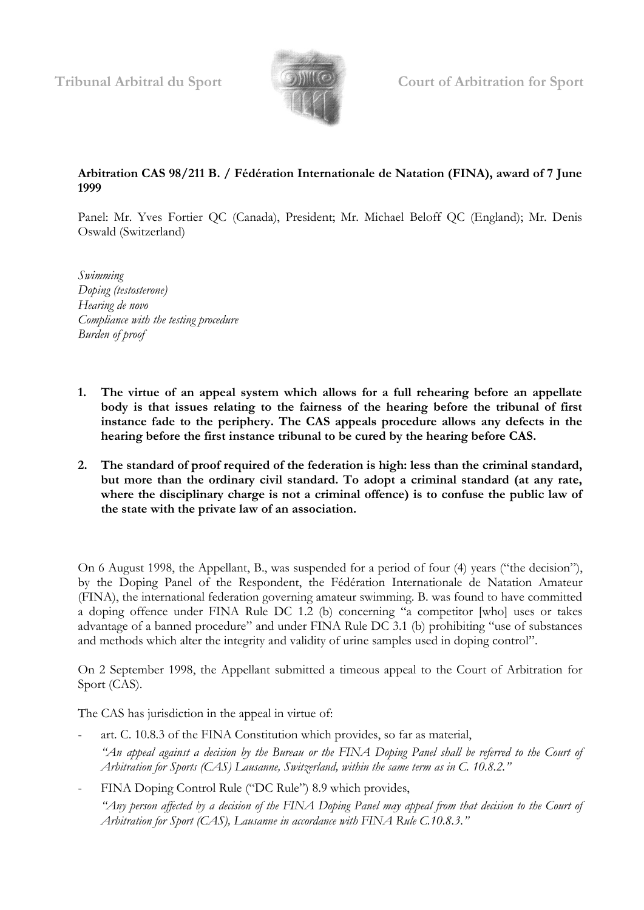

## **Arbitration CAS 98/211 B. / Fédération Internationale de Natation (FINA), award of 7 June 1999**

Panel: Mr. Yves Fortier QC (Canada), President; Mr. Michael Beloff QC (England); Mr. Denis Oswald (Switzerland)

*Swimming Doping (testosterone) Hearing de novo Compliance with the testing procedure Burden of proof*

- **1. The virtue of an appeal system which allows for a full rehearing before an appellate body is that issues relating to the fairness of the hearing before the tribunal of first instance fade to the periphery. The CAS appeals procedure allows any defects in the hearing before the first instance tribunal to be cured by the hearing before CAS.**
- **2. The standard of proof required of the federation is high: less than the criminal standard, but more than the ordinary civil standard. To adopt a criminal standard (at any rate, where the disciplinary charge is not a criminal offence) is to confuse the public law of the state with the private law of an association.**

On 6 August 1998, the Appellant, B., was suspended for a period of four (4) years ("the decision"), by the Doping Panel of the Respondent, the Fédération Internationale de Natation Amateur (FINA), the international federation governing amateur swimming. B. was found to have committed a doping offence under FINA Rule DC 1.2 (b) concerning "a competitor [who] uses or takes advantage of a banned procedure" and under FINA Rule DC 3.1 (b) prohibiting "use of substances and methods which alter the integrity and validity of urine samples used in doping control".

On 2 September 1998, the Appellant submitted a timeous appeal to the Court of Arbitration for Sport (CAS).

The CAS has jurisdiction in the appeal in virtue of:

- art. C. 10.8.3 of the FINA Constitution which provides, so far as material, *"An appeal against a decision by the Bureau or the FINA Doping Panel shall be referred to the Court of Arbitration for Sports (CAS) Lausanne, Switzerland, within the same term as in C. 10.8.2."*
- FINA Doping Control Rule ("DC Rule") 8.9 which provides, *"Any person affected by a decision of the FINA Doping Panel may appeal from that decision to the Court of Arbitration for Sport (CAS), Lausanne in accordance with FINA Rule C.10.8.3."*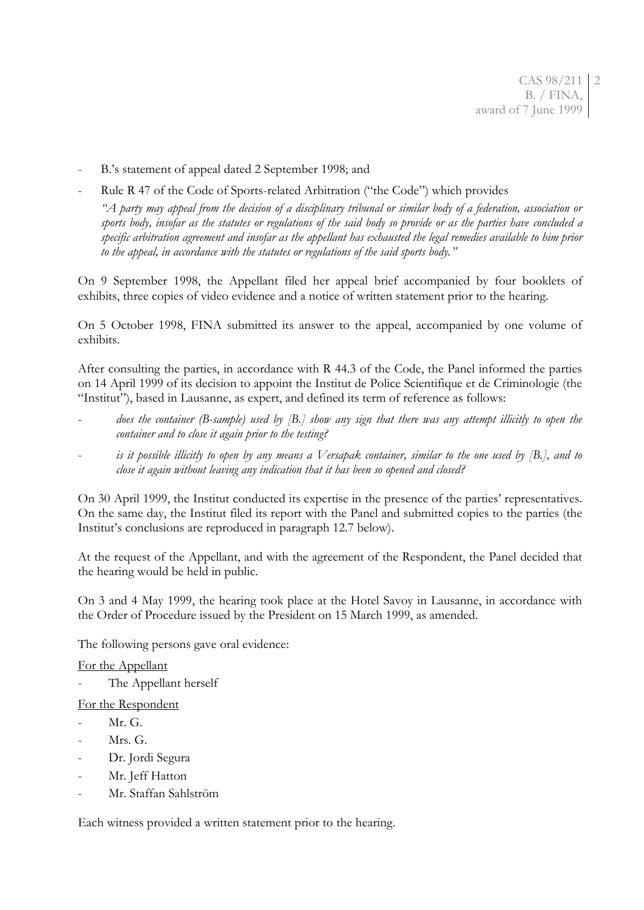- B.'s statement of appeal dated 2 September 1998; and
- Rule R 47 of the Code of Sports-related Arbitration ("the Code") which provides

*"A party may appeal from the decision of a disciplinary tribunal or similar body of a federation, association or sports body, insofar as the statutes or regulations of the said body so provide or as the parties have concluded a specific arbitration agreement and insofar as the appellant has exhausted the legal remedies available to him prior to the appeal, in accordance with the statutes or regulations of the said sports body."*

On 9 September 1998, the Appellant filed her appeal brief accompanied by four booklets of exhibits, three copies of video evidence and a notice of written statement prior to the hearing.

On 5 October 1998, FINA submitted its answer to the appeal, accompanied by one volume of exhibits.

After consulting the parties, in accordance with R 44.3 of the Code, the Panel informed the parties on 14 April 1999 of its decision to appoint the Institut de Police Scientifique et de Criminologie (the "Institut"), based in Lausanne, as expert, and defined its term of reference as follows:

- does the container (B-sample) used by [B.] show any sign that there was any attempt illicitly to open the *container and to close it again prior to the testing?*
- is it possible illicitly to open by any means a Versapak container, similar to the one used by [B.], and to *close it again without leaving any indication that it has been so opened and closed?*

On 30 April 1999, the Institut conducted its expertise in the presence of the parties' representatives. On the same day, the Institut filed its report with the Panel and submitted copies to the parties (the Institut's conclusions are reproduced in paragraph 12.7 below).

At the request of the Appellant, and with the agreement of the Respondent, the Panel decided that the hearing would be held in public.

On 3 and 4 May 1999, the hearing took place at the Hotel Savoy in Lausanne, in accordance with the Order of Procedure issued by the President on 15 March 1999, as amended.

The following persons gave oral evidence:

### For the Appellant

The Appellant herself

### For the Respondent

- Mr. G.
- Mrs. G.
- Dr. Jordi Segura
- Mr. Jeff Hatton
- Mr. Staffan Sahlström

Each witness provided a written statement prior to the hearing.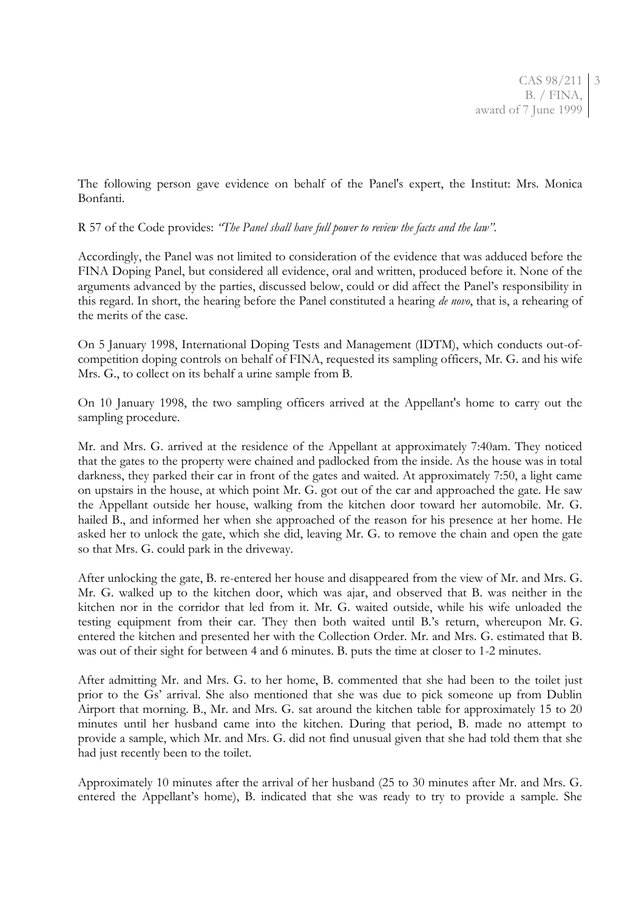The following person gave evidence on behalf of the Panel's expert, the Institut: Mrs. Monica Bonfanti.

R 57 of the Code provides: *"The Panel shall have full power to review the facts and the law".*

Accordingly, the Panel was not limited to consideration of the evidence that was adduced before the FINA Doping Panel, but considered all evidence, oral and written, produced before it. None of the arguments advanced by the parties, discussed below, could or did affect the Panel's responsibility in this regard. In short, the hearing before the Panel constituted a hearing *de novo*, that is, a rehearing of the merits of the case.

On 5 January 1998, International Doping Tests and Management (IDTM), which conducts out-ofcompetition doping controls on behalf of FINA, requested its sampling officers, Mr. G. and his wife Mrs. G., to collect on its behalf a urine sample from B.

On 10 January 1998, the two sampling officers arrived at the Appellant's home to carry out the sampling procedure.

Mr. and Mrs. G. arrived at the residence of the Appellant at approximately 7:40am. They noticed that the gates to the property were chained and padlocked from the inside. As the house was in total darkness, they parked their car in front of the gates and waited. At approximately 7:50, a light came on upstairs in the house, at which point Mr. G. got out of the car and approached the gate. He saw the Appellant outside her house, walking from the kitchen door toward her automobile. Mr. G. hailed B., and informed her when she approached of the reason for his presence at her home. He asked her to unlock the gate, which she did, leaving Mr. G. to remove the chain and open the gate so that Mrs. G. could park in the driveway.

After unlocking the gate, B. re-entered her house and disappeared from the view of Mr. and Mrs. G. Mr. G. walked up to the kitchen door, which was ajar, and observed that B. was neither in the kitchen nor in the corridor that led from it. Mr. G. waited outside, while his wife unloaded the testing equipment from their car. They then both waited until B.'s return, whereupon Mr. G. entered the kitchen and presented her with the Collection Order. Mr. and Mrs. G. estimated that B. was out of their sight for between 4 and 6 minutes. B. puts the time at closer to 1-2 minutes.

After admitting Mr. and Mrs. G. to her home, B. commented that she had been to the toilet just prior to the Gs' arrival. She also mentioned that she was due to pick someone up from Dublin Airport that morning. B., Mr. and Mrs. G. sat around the kitchen table for approximately 15 to 20 minutes until her husband came into the kitchen. During that period, B. made no attempt to provide a sample, which Mr. and Mrs. G. did not find unusual given that she had told them that she had just recently been to the toilet.

Approximately 10 minutes after the arrival of her husband (25 to 30 minutes after Mr. and Mrs. G. entered the Appellant's home), B. indicated that she was ready to try to provide a sample. She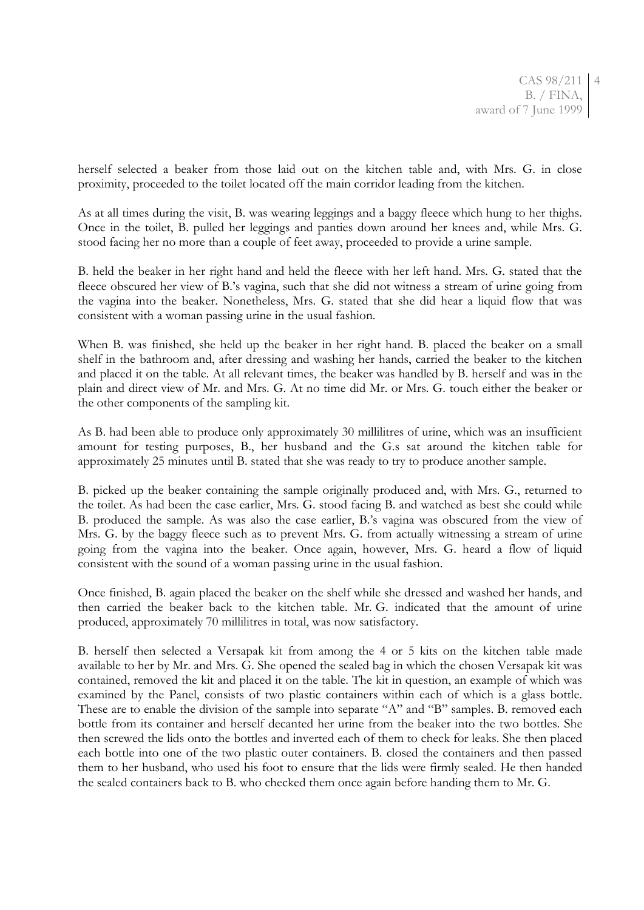herself selected a beaker from those laid out on the kitchen table and, with Mrs. G. in close proximity, proceeded to the toilet located off the main corridor leading from the kitchen.

As at all times during the visit, B. was wearing leggings and a baggy fleece which hung to her thighs. Once in the toilet, B. pulled her leggings and panties down around her knees and, while Mrs. G. stood facing her no more than a couple of feet away, proceeded to provide a urine sample.

B. held the beaker in her right hand and held the fleece with her left hand. Mrs. G. stated that the fleece obscured her view of B.'s vagina, such that she did not witness a stream of urine going from the vagina into the beaker. Nonetheless, Mrs. G. stated that she did hear a liquid flow that was consistent with a woman passing urine in the usual fashion.

When B. was finished, she held up the beaker in her right hand. B. placed the beaker on a small shelf in the bathroom and, after dressing and washing her hands, carried the beaker to the kitchen and placed it on the table. At all relevant times, the beaker was handled by B. herself and was in the plain and direct view of Mr. and Mrs. G. At no time did Mr. or Mrs. G. touch either the beaker or the other components of the sampling kit.

As B. had been able to produce only approximately 30 millilitres of urine, which was an insufficient amount for testing purposes, B., her husband and the G.s sat around the kitchen table for approximately 25 minutes until B. stated that she was ready to try to produce another sample.

B. picked up the beaker containing the sample originally produced and, with Mrs. G., returned to the toilet. As had been the case earlier, Mrs. G. stood facing B. and watched as best she could while B. produced the sample. As was also the case earlier, B.'s vagina was obscured from the view of Mrs. G. by the baggy fleece such as to prevent Mrs. G. from actually witnessing a stream of urine going from the vagina into the beaker. Once again, however, Mrs. G. heard a flow of liquid consistent with the sound of a woman passing urine in the usual fashion.

Once finished, B. again placed the beaker on the shelf while she dressed and washed her hands, and then carried the beaker back to the kitchen table. Mr. G. indicated that the amount of urine produced, approximately 70 millilitres in total, was now satisfactory.

B. herself then selected a Versapak kit from among the 4 or 5 kits on the kitchen table made available to her by Mr. and Mrs. G. She opened the sealed bag in which the chosen Versapak kit was contained, removed the kit and placed it on the table. The kit in question, an example of which was examined by the Panel, consists of two plastic containers within each of which is a glass bottle. These are to enable the division of the sample into separate "A" and "B" samples. B. removed each bottle from its container and herself decanted her urine from the beaker into the two bottles. She then screwed the lids onto the bottles and inverted each of them to check for leaks. She then placed each bottle into one of the two plastic outer containers. B. closed the containers and then passed them to her husband, who used his foot to ensure that the lids were firmly sealed. He then handed the sealed containers back to B. who checked them once again before handing them to Mr. G.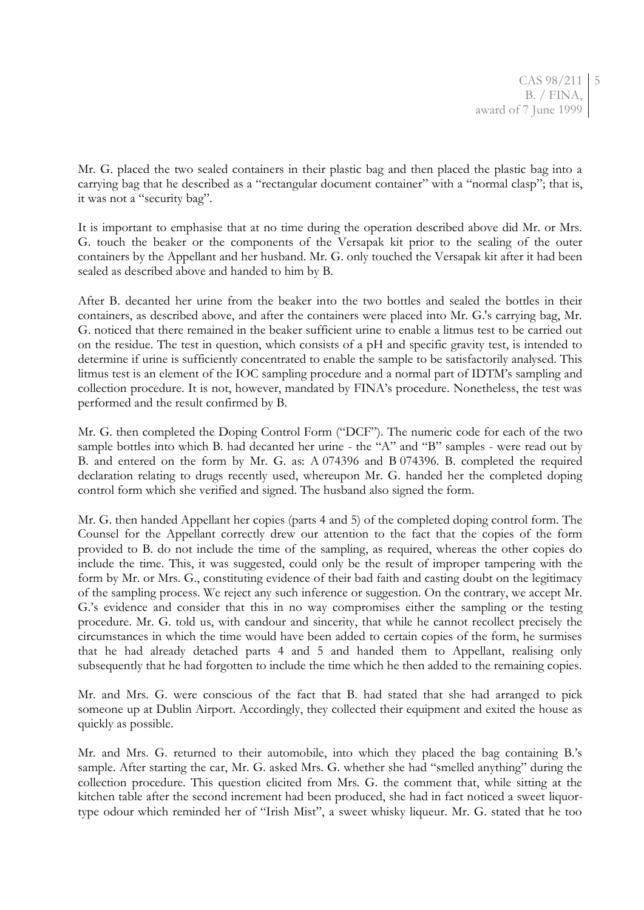Mr. G. placed the two sealed containers in their plastic bag and then placed the plastic bag into a carrying bag that he described as a "rectangular document container" with a "normal clasp"; that is, it was not a "security bag".

It is important to emphasise that at no time during the operation described above did Mr. or Mrs. G. touch the beaker or the components of the Versapak kit prior to the sealing of the outer containers by the Appellant and her husband. Mr. G. only touched the Versapak kit after it had been sealed as described above and handed to him by B.

After B. decanted her urine from the beaker into the two bottles and sealed the bottles in their containers, as described above, and after the containers were placed into Mr. G.'s carrying bag, Mr. G. noticed that there remained in the beaker sufficient urine to enable a litmus test to be carried out on the residue. The test in question, which consists of a pH and specific gravity test, is intended to determine if urine is sufficiently concentrated to enable the sample to be satisfactorily analysed. This litmus test is an element of the IOC sampling procedure and a normal part of IDTM's sampling and collection procedure. It is not, however, mandated by FINA's procedure. Nonetheless, the test was performed and the result confirmed by B.

Mr. G. then completed the Doping Control Form ("DCF"). The numeric code for each of the two sample bottles into which B. had decanted her urine - the "A" and "B" samples - were read out by B. and entered on the form by Mr. G. as: A 074396 and B 074396. B. completed the required declaration relating to drugs recently used, whereupon Mr. G. handed her the completed doping control form which she verified and signed. The husband also signed the form.

Mr. G. then handed Appellant her copies (parts 4 and 5) of the completed doping control form. The Counsel for the Appellant correctly drew our attention to the fact that the copies of the form provided to B. do not include the time of the sampling, as required, whereas the other copies do include the time. This, it was suggested, could only be the result of improper tampering with the form by Mr. or Mrs. G., constituting evidence of their bad faith and casting doubt on the legitimacy of the sampling process. We reject any such inference or suggestion. On the contrary, we accept Mr. G.'s evidence and consider that this in no way compromises either the sampling or the testing procedure. Mr. G. told us, with candour and sincerity, that while he cannot recollect precisely the circumstances in which the time would have been added to certain copies of the form, he surmises that he had already detached parts 4 and 5 and handed them to Appellant, realising only subsequently that he had forgotten to include the time which he then added to the remaining copies.

Mr. and Mrs. G. were conscious of the fact that B. had stated that she had arranged to pick someone up at Dublin Airport. Accordingly, they collected their equipment and exited the house as quickly as possible.

Mr. and Mrs. G. returned to their automobile, into which they placed the bag containing B.'s sample. After starting the car, Mr. G. asked Mrs. G. whether she had "smelled anything" during the collection procedure. This question elicited from Mrs. G. the comment that, while sitting at the kitchen table after the second increment had been produced, she had in fact noticed a sweet liquortype odour which reminded her of "Irish Mist", a sweet whisky liqueur. Mr. G. stated that he too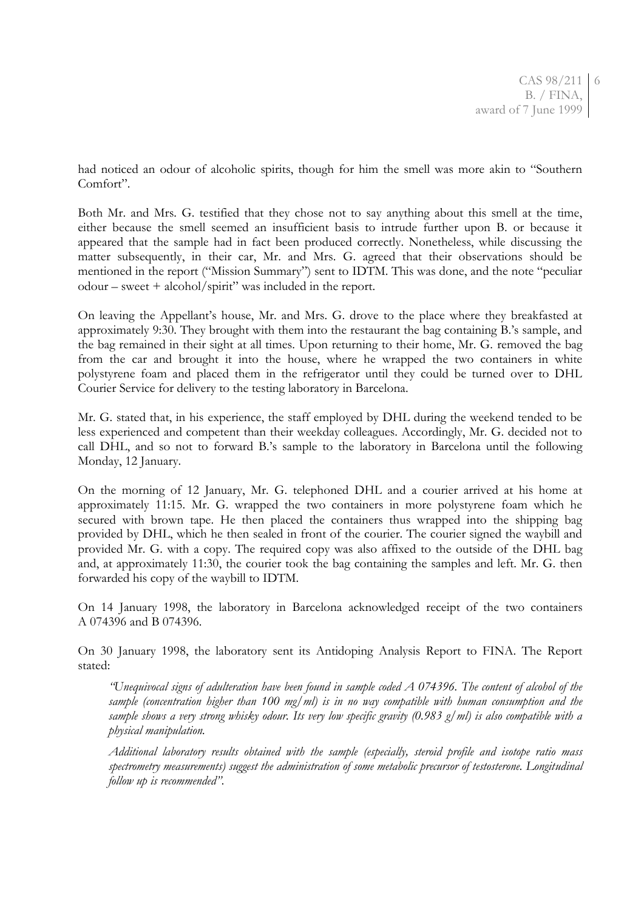had noticed an odour of alcoholic spirits, though for him the smell was more akin to "Southern Comfort".

Both Mr. and Mrs. G. testified that they chose not to say anything about this smell at the time, either because the smell seemed an insufficient basis to intrude further upon B. or because it appeared that the sample had in fact been produced correctly. Nonetheless, while discussing the matter subsequently, in their car, Mr. and Mrs. G. agreed that their observations should be mentioned in the report ("Mission Summary") sent to IDTM. This was done, and the note "peculiar odour – sweet + alcohol/spirit" was included in the report.

On leaving the Appellant's house, Mr. and Mrs. G. drove to the place where they breakfasted at approximately 9:30. They brought with them into the restaurant the bag containing B.'s sample, and the bag remained in their sight at all times. Upon returning to their home, Mr. G. removed the bag from the car and brought it into the house, where he wrapped the two containers in white polystyrene foam and placed them in the refrigerator until they could be turned over to DHL Courier Service for delivery to the testing laboratory in Barcelona.

Mr. G. stated that, in his experience, the staff employed by DHL during the weekend tended to be less experienced and competent than their weekday colleagues. Accordingly, Mr. G. decided not to call DHL, and so not to forward B.'s sample to the laboratory in Barcelona until the following Monday, 12 January.

On the morning of 12 January, Mr. G. telephoned DHL and a courier arrived at his home at approximately 11:15. Mr. G. wrapped the two containers in more polystyrene foam which he secured with brown tape. He then placed the containers thus wrapped into the shipping bag provided by DHL, which he then sealed in front of the courier. The courier signed the waybill and provided Mr. G. with a copy. The required copy was also affixed to the outside of the DHL bag and, at approximately 11:30, the courier took the bag containing the samples and left. Mr. G. then forwarded his copy of the waybill to IDTM.

On 14 January 1998, the laboratory in Barcelona acknowledged receipt of the two containers A 074396 and B 074396.

On 30 January 1998, the laboratory sent its Antidoping Analysis Report to FINA. The Report stated:

*"Unequivocal signs of adulteration have been found in sample coded A 074396. The content of alcohol of the sample (concentration higher than 100 mg/ml) is in no way compatible with human consumption and the sample shows a very strong whisky odour. Its very low specific gravity (0.983 g/ml) is also compatible with a physical manipulation.*

*Additional laboratory results obtained with the sample (especially, steroid profile and isotope ratio mass spectrometry measurements) suggest the administration of some metabolic precursor of testosterone. Longitudinal follow up is recommended".*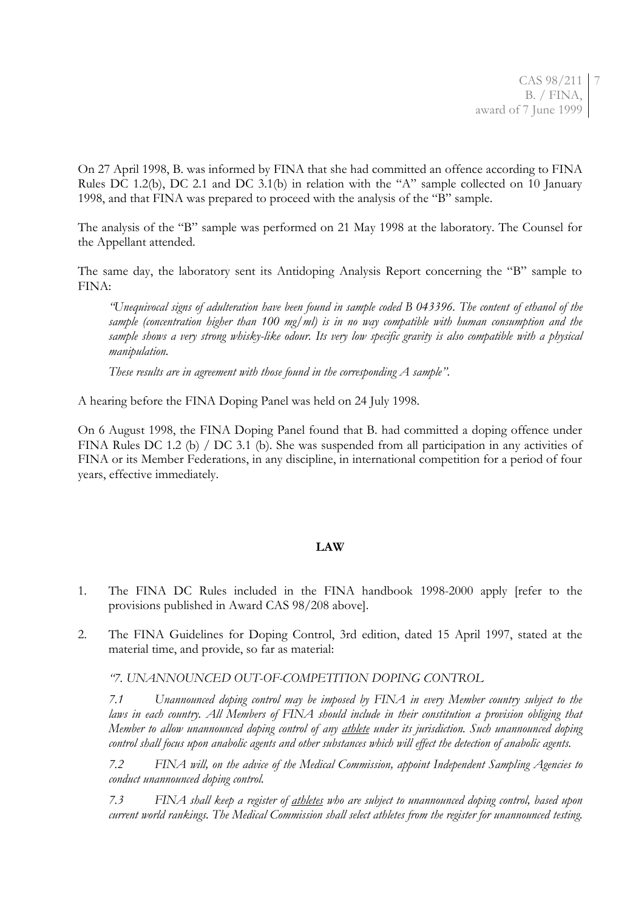On 27 April 1998, B. was informed by FINA that she had committed an offence according to FINA Rules DC 1.2(b), DC 2.1 and DC 3.1(b) in relation with the "A" sample collected on 10 January 1998, and that FINA was prepared to proceed with the analysis of the "B" sample.

The analysis of the "B" sample was performed on 21 May 1998 at the laboratory. The Counsel for the Appellant attended.

The same day, the laboratory sent its Antidoping Analysis Report concerning the "B" sample to FINA:

*"Unequivocal signs of adulteration have been found in sample coded B 043396. The content of ethanol of the sample (concentration higher than 100 mg/ml) is in no way compatible with human consumption and the sample shows a very strong whisky-like odour. Its very low specific gravity is also compatible with a physical manipulation.*

*These results are in agreement with those found in the corresponding A sample".*

A hearing before the FINA Doping Panel was held on 24 July 1998.

On 6 August 1998, the FINA Doping Panel found that B. had committed a doping offence under FINA Rules DC 1.2 (b) / DC 3.1 (b). She was suspended from all participation in any activities of FINA or its Member Federations, in any discipline, in international competition for a period of four years, effective immediately.

#### **LAW**

- 1. The FINA DC Rules included in the FINA handbook 1998-2000 apply [refer to the provisions published in Award CAS 98/208 above].
- 2. The FINA Guidelines for Doping Control, 3rd edition, dated 15 April 1997, stated at the material time, and provide, so far as material:

*"7. UNANNOUNCED OUT-OF-COMPETITION DOPING CONTROL*

*7.1 Unannounced doping control may be imposed by FINA in every Member country subject to the*  laws in each country. All Members of FINA should include in their constitution a provision obliging that *Member to allow unannounced doping control of any athlete under its jurisdiction. Such unannounced doping control shall focus upon anabolic agents and other substances which will effect the detection of anabolic agents.*

*7.2 FINA will, on the advice of the Medical Commission, appoint Independent Sampling Agencies to conduct unannounced doping control.*

*7.3 FINA shall keep a register of athletes who are subject to unannounced doping control, based upon current world rankings. The Medical Commission shall select athletes from the register for unannounced testing.*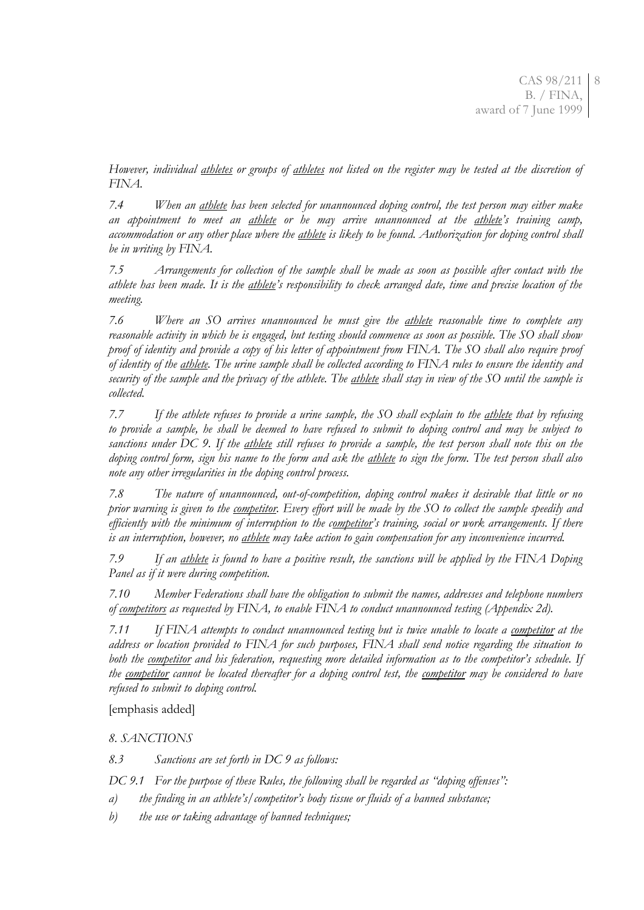*However, individual athletes or groups of athletes not listed on the register may be tested at the discretion of FINA.*

*7.4 When an athlete has been selected for unannounced doping control, the test person may either make an appointment to meet an athlete or he may arrive unannounced at the athlete's training camp, accommodation or any other place where the athlete is likely to be found. Authorization for doping control shall be in writing by FINA.*

*7.5 Arrangements for collection of the sample shall be made as soon as possible after contact with the athlete has been made. It is the athlete's responsibility to check arranged date, time and precise location of the meeting.*

*7.6 Where an SO arrives unannounced he must give the athlete reasonable time to complete any reasonable activity in which he is engaged, but testing should commence as soon as possible. The SO shall show proof of identity and provide a copy of his letter of appointment from FINA. The SO shall also require proof of identity of the athlete. The urine sample shall be collected according to FINA rules to ensure the identity and security of the sample and the privacy of the athlete. The athlete shall stay in view of the SO until the sample is collected.*

*7.7 If the athlete refuses to provide a urine sample, the SO shall explain to the athlete that by refusing to provide a sample, he shall be deemed to have refused to submit to doping control and may be subject to sanctions under DC 9. If the athlete still refuses to provide a sample, the test person shall note this on the doping control form, sign his name to the form and ask the athlete to sign the form. The test person shall also note any other irregularities in the doping control process.*

*7.8 The nature of unannounced, out-of-competition, doping control makes it desirable that little or no prior warning is given to the competitor. Every effort will be made by the SO to collect the sample speedily and efficiently with the minimum of interruption to the competitor's training, social or work arrangements. If there is an interruption, however, no athlete may take action to gain compensation for any inconvenience incurred.*

*7.9 If an athlete is found to have a positive result, the sanctions will be applied by the FINA Doping Panel as if it were during competition.*

*7.10 Member Federations shall have the obligation to submit the names, addresses and telephone numbers of competitors as requested by FINA, to enable FINA to conduct unannounced testing (Appendix 2d).*

*7.11 If FINA attempts to conduct unannounced testing but is twice unable to locate a competitor at the address or location provided to FINA for such purposes, FINA shall send notice regarding the situation to both the competitor and his federation, requesting more detailed information as to the competitor's schedule. If the competitor cannot be located thereafter for a doping control test, the competitor may be considered to have refused to submit to doping control.* 

[emphasis added]

*8. SANCTIONS*

*8.3 Sanctions are set forth in DC 9 as follows:*

*DC 9.1 For the purpose of these Rules, the following shall be regarded as "doping offenses":*

- *a) the finding in an athlete's/competitor's body tissue or fluids of a banned substance;*
- *b) the use or taking advantage of banned techniques;*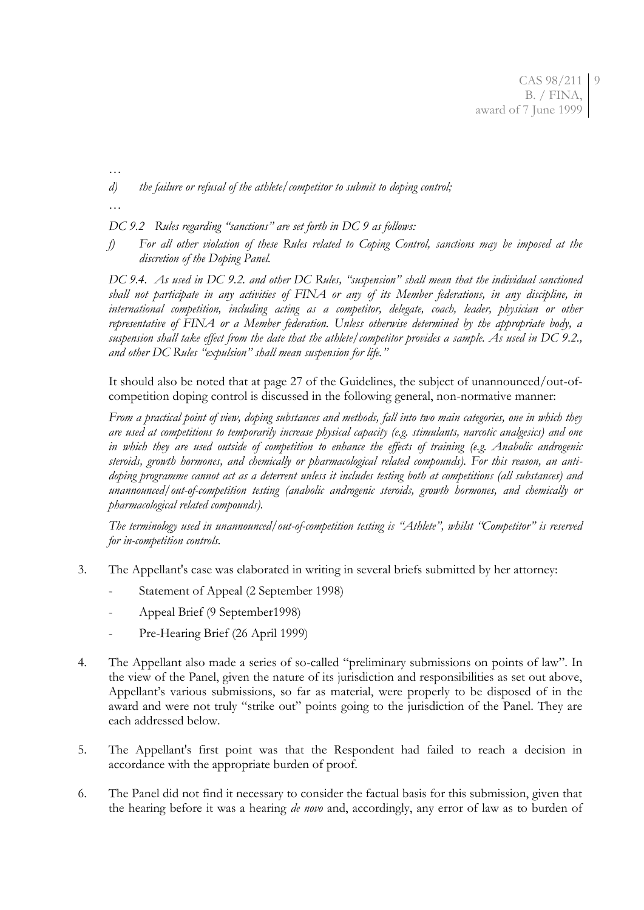*…*

*d) the failure or refusal of the athlete/competitor to submit to doping control;*

*…*

*DC 9.2 Rules regarding "sanctions" are set forth in DC 9 as follows:*

*f) For all other violation of these Rules related to Coping Control, sanctions may be imposed at the discretion of the Doping Panel.*

*DC 9.4. As used in DC 9.2. and other DC Rules, "suspension" shall mean that the individual sanctioned shall not participate in any activities of FINA or any of its Member federations, in any discipline, in international competition, including acting as a competitor, delegate, coach, leader, physician or other representative of FINA or a Member federation. Unless otherwise determined by the appropriate body, a suspension shall take effect from the date that the athlete/competitor provides a sample. As used in DC 9.2., and other DC Rules "expulsion" shall mean suspension for life."*

It should also be noted that at page 27 of the Guidelines, the subject of unannounced/out-ofcompetition doping control is discussed in the following general, non-normative manner:

*From a practical point of view, doping substances and methods, fall into two main categories, one in which they are used at competitions to temporarily increase physical capacity (e.g. stimulants, narcotic analgesics) and one in which they are used outside of competition to enhance the effects of training (e.g. Anabolic androgenic steroids, growth hormones, and chemically or pharmacological related compounds). For this reason, an antidoping programme cannot act as a deterrent unless it includes testing both at competitions (all substances) and unannounced/out-of-competition testing (anabolic androgenic steroids, growth hormones, and chemically or pharmacological related compounds).*

*The terminology used in unannounced/out-of-competition testing is "Athlete", whilst "Competitor" is reserved for in-competition controls.*

- 3. The Appellant's case was elaborated in writing in several briefs submitted by her attorney:
	- Statement of Appeal (2 September 1998)
	- Appeal Brief (9 September1998)
	- Pre-Hearing Brief (26 April 1999)
- 4. The Appellant also made a series of so-called "preliminary submissions on points of law". In the view of the Panel, given the nature of its jurisdiction and responsibilities as set out above, Appellant's various submissions, so far as material, were properly to be disposed of in the award and were not truly "strike out" points going to the jurisdiction of the Panel. They are each addressed below.
- 5. The Appellant's first point was that the Respondent had failed to reach a decision in accordance with the appropriate burden of proof.
- 6. The Panel did not find it necessary to consider the factual basis for this submission, given that the hearing before it was a hearing *de novo* and, accordingly, any error of law as to burden of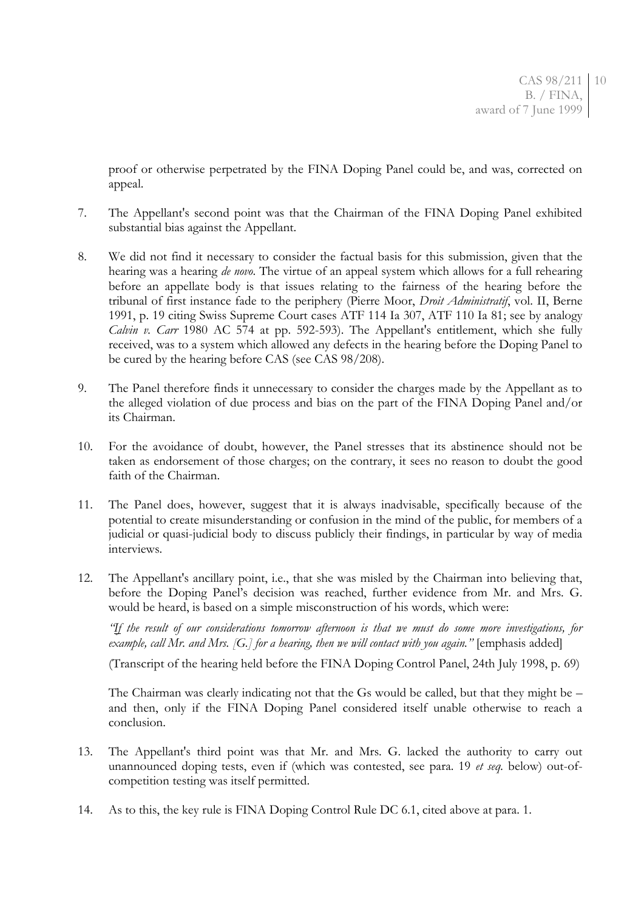proof or otherwise perpetrated by the FINA Doping Panel could be, and was, corrected on appeal.

- 7. The Appellant's second point was that the Chairman of the FINA Doping Panel exhibited substantial bias against the Appellant.
- 8. We did not find it necessary to consider the factual basis for this submission, given that the hearing was a hearing *de novo*. The virtue of an appeal system which allows for a full rehearing before an appellate body is that issues relating to the fairness of the hearing before the tribunal of first instance fade to the periphery (Pierre Moor, *Droit Administratif*, vol. II, Berne 1991, p. 19 citing Swiss Supreme Court cases ATF 114 Ia 307, ATF 110 Ia 81; see by analogy *Calvin v. Carr* 1980 AC 574 at pp. 592-593). The Appellant's entitlement, which she fully received, was to a system which allowed any defects in the hearing before the Doping Panel to be cured by the hearing before CAS (see CAS 98/208).
- 9. The Panel therefore finds it unnecessary to consider the charges made by the Appellant as to the alleged violation of due process and bias on the part of the FINA Doping Panel and/or its Chairman.
- 10. For the avoidance of doubt, however, the Panel stresses that its abstinence should not be taken as endorsement of those charges; on the contrary, it sees no reason to doubt the good faith of the Chairman.
- 11. The Panel does, however, suggest that it is always inadvisable, specifically because of the potential to create misunderstanding or confusion in the mind of the public, for members of a judicial or quasi-judicial body to discuss publicly their findings, in particular by way of media interviews.
- 12. The Appellant's ancillary point, i.e., that she was misled by the Chairman into believing that, before the Doping Panel's decision was reached, further evidence from Mr. and Mrs. G. would be heard, is based on a simple misconstruction of his words, which were:

*"If the result of our considerations tomorrow afternoon is that we must do some more investigations, for example, call Mr. and Mrs. [G.] for a hearing, then we will contact with you again."* [emphasis added]

(Transcript of the hearing held before the FINA Doping Control Panel, 24th July 1998, p. 69)

The Chairman was clearly indicating not that the Gs would be called, but that they might be – and then, only if the FINA Doping Panel considered itself unable otherwise to reach a conclusion.

- 13. The Appellant's third point was that Mr. and Mrs. G. lacked the authority to carry out unannounced doping tests, even if (which was contested, see para. 19 *et seq.* below) out-ofcompetition testing was itself permitted.
- 14. As to this, the key rule is FINA Doping Control Rule DC 6.1, cited above at para. 1.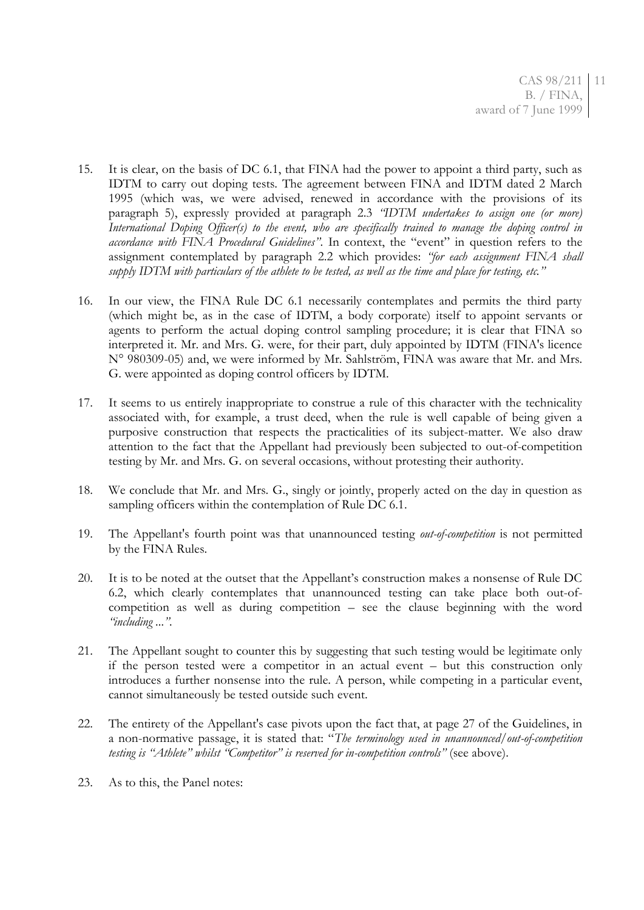- 15. It is clear, on the basis of DC 6.1, that FINA had the power to appoint a third party, such as IDTM to carry out doping tests. The agreement between FINA and IDTM dated 2 March 1995 (which was, we were advised, renewed in accordance with the provisions of its paragraph 5), expressly provided at paragraph 2.3 *"IDTM undertakes to assign one (or more) International Doping Officer(s) to the event, who are specifically trained to manage the doping control in accordance with FINA Procedural Guidelines"*. In context, the "event" in question refers to the assignment contemplated by paragraph 2.2 which provides: *"for each assignment FINA shall supply IDTM with particulars of the athlete to be tested, as well as the time and place for testing, etc."*
- 16. In our view, the FINA Rule DC 6.1 necessarily contemplates and permits the third party (which might be, as in the case of IDTM, a body corporate) itself to appoint servants or agents to perform the actual doping control sampling procedure; it is clear that FINA so interpreted it. Mr. and Mrs. G. were, for their part, duly appointed by IDTM (FINA's licence N° 980309-05) and, we were informed by Mr. Sahlström, FINA was aware that Mr. and Mrs. G. were appointed as doping control officers by IDTM.
- 17. It seems to us entirely inappropriate to construe a rule of this character with the technicality associated with, for example, a trust deed, when the rule is well capable of being given a purposive construction that respects the practicalities of its subject-matter. We also draw attention to the fact that the Appellant had previously been subjected to out-of-competition testing by Mr. and Mrs. G. on several occasions, without protesting their authority.
- 18. We conclude that Mr. and Mrs. G., singly or jointly, properly acted on the day in question as sampling officers within the contemplation of Rule DC 6.1.
- 19. The Appellant's fourth point was that unannounced testing *out-of-competition* is not permitted by the FINA Rules.
- 20. It is to be noted at the outset that the Appellant's construction makes a nonsense of Rule DC 6.2, which clearly contemplates that unannounced testing can take place both out-ofcompetition as well as during competition – see the clause beginning with the word *"including ...".*
- 21. The Appellant sought to counter this by suggesting that such testing would be legitimate only if the person tested were a competitor in an actual event – but this construction only introduces a further nonsense into the rule. A person, while competing in a particular event, cannot simultaneously be tested outside such event.
- 22. The entirety of the Appellant's case pivots upon the fact that, at page 27 of the Guidelines, in a non-normative passage, it is stated that: "*The terminology used in unannounced/out-of-competition testing is "Athlete" whilst "Competitor" is reserved for in-competition controls"* (see above).
- 23. As to this, the Panel notes: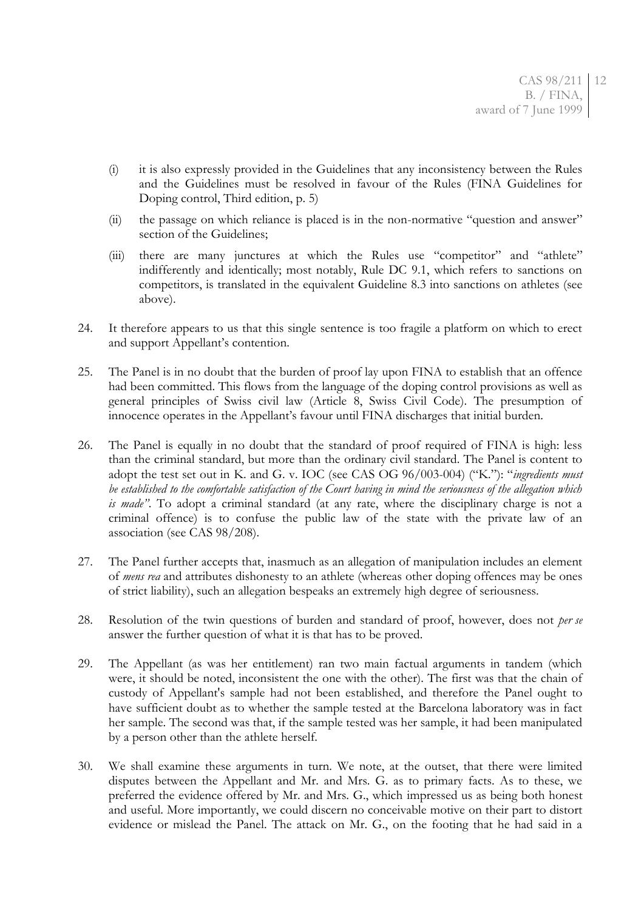- (i) it is also expressly provided in the Guidelines that any inconsistency between the Rules and the Guidelines must be resolved in favour of the Rules (FINA Guidelines for Doping control, Third edition, p. 5)
- (ii) the passage on which reliance is placed is in the non-normative "question and answer" section of the Guidelines:
- (iii) there are many junctures at which the Rules use "competitor" and "athlete" indifferently and identically; most notably, Rule DC 9.1, which refers to sanctions on competitors, is translated in the equivalent Guideline 8.3 into sanctions on athletes (see above).
- 24. It therefore appears to us that this single sentence is too fragile a platform on which to erect and support Appellant's contention.
- 25. The Panel is in no doubt that the burden of proof lay upon FINA to establish that an offence had been committed. This flows from the language of the doping control provisions as well as general principles of Swiss civil law (Article 8, Swiss Civil Code). The presumption of innocence operates in the Appellant's favour until FINA discharges that initial burden.
- 26. The Panel is equally in no doubt that the standard of proof required of FINA is high: less than the criminal standard, but more than the ordinary civil standard. The Panel is content to adopt the test set out in K. and G. v. IOC (see CAS OG 96/003-004) ("K."): "*ingredients must be established to the comfortable satisfaction of the Court having in mind the seriousness of the allegation which is made"*. To adopt a criminal standard (at any rate, where the disciplinary charge is not a criminal offence) is to confuse the public law of the state with the private law of an association (see CAS 98/208).
- 27. The Panel further accepts that, inasmuch as an allegation of manipulation includes an element of *mens rea* and attributes dishonesty to an athlete (whereas other doping offences may be ones of strict liability), such an allegation bespeaks an extremely high degree of seriousness.
- 28. Resolution of the twin questions of burden and standard of proof, however, does not *per se* answer the further question of what it is that has to be proved.
- 29. The Appellant (as was her entitlement) ran two main factual arguments in tandem (which were, it should be noted, inconsistent the one with the other). The first was that the chain of custody of Appellant's sample had not been established, and therefore the Panel ought to have sufficient doubt as to whether the sample tested at the Barcelona laboratory was in fact her sample. The second was that, if the sample tested was her sample, it had been manipulated by a person other than the athlete herself.
- 30. We shall examine these arguments in turn. We note, at the outset, that there were limited disputes between the Appellant and Mr. and Mrs. G. as to primary facts. As to these, we preferred the evidence offered by Mr. and Mrs. G., which impressed us as being both honest and useful. More importantly, we could discern no conceivable motive on their part to distort evidence or mislead the Panel. The attack on Mr. G., on the footing that he had said in a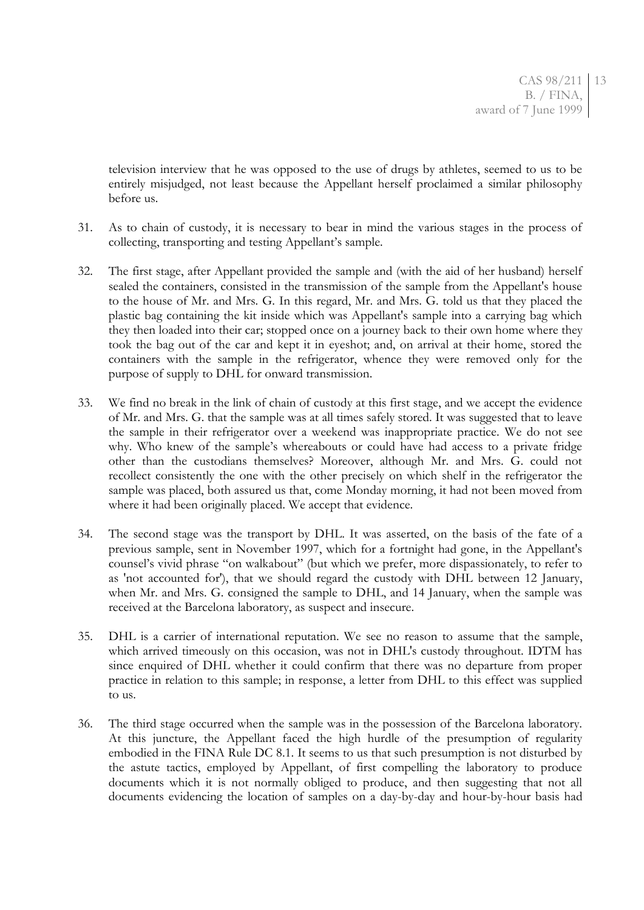television interview that he was opposed to the use of drugs by athletes, seemed to us to be entirely misjudged, not least because the Appellant herself proclaimed a similar philosophy before us.

- 31. As to chain of custody, it is necessary to bear in mind the various stages in the process of collecting, transporting and testing Appellant's sample.
- 32. The first stage, after Appellant provided the sample and (with the aid of her husband) herself sealed the containers, consisted in the transmission of the sample from the Appellant's house to the house of Mr. and Mrs. G. In this regard, Mr. and Mrs. G. told us that they placed the plastic bag containing the kit inside which was Appellant's sample into a carrying bag which they then loaded into their car; stopped once on a journey back to their own home where they took the bag out of the car and kept it in eyeshot; and, on arrival at their home, stored the containers with the sample in the refrigerator, whence they were removed only for the purpose of supply to DHL for onward transmission.
- 33. We find no break in the link of chain of custody at this first stage, and we accept the evidence of Mr. and Mrs. G. that the sample was at all times safely stored. It was suggested that to leave the sample in their refrigerator over a weekend was inappropriate practice. We do not see why. Who knew of the sample's whereabouts or could have had access to a private fridge other than the custodians themselves? Moreover, although Mr. and Mrs. G. could not recollect consistently the one with the other precisely on which shelf in the refrigerator the sample was placed, both assured us that, come Monday morning, it had not been moved from where it had been originally placed. We accept that evidence.
- 34. The second stage was the transport by DHL. It was asserted, on the basis of the fate of a previous sample, sent in November 1997, which for a fortnight had gone, in the Appellant's counsel's vivid phrase "on walkabout" (but which we prefer, more dispassionately, to refer to as 'not accounted for'), that we should regard the custody with DHL between 12 January, when Mr. and Mrs. G. consigned the sample to DHL, and 14 January, when the sample was received at the Barcelona laboratory, as suspect and insecure.
- 35. DHL is a carrier of international reputation. We see no reason to assume that the sample, which arrived timeously on this occasion, was not in DHL's custody throughout. IDTM has since enquired of DHL whether it could confirm that there was no departure from proper practice in relation to this sample; in response, a letter from DHL to this effect was supplied to us.
- 36. The third stage occurred when the sample was in the possession of the Barcelona laboratory. At this juncture, the Appellant faced the high hurdle of the presumption of regularity embodied in the FINA Rule DC 8.1. It seems to us that such presumption is not disturbed by the astute tactics, employed by Appellant, of first compelling the laboratory to produce documents which it is not normally obliged to produce, and then suggesting that not all documents evidencing the location of samples on a day-by-day and hour-by-hour basis had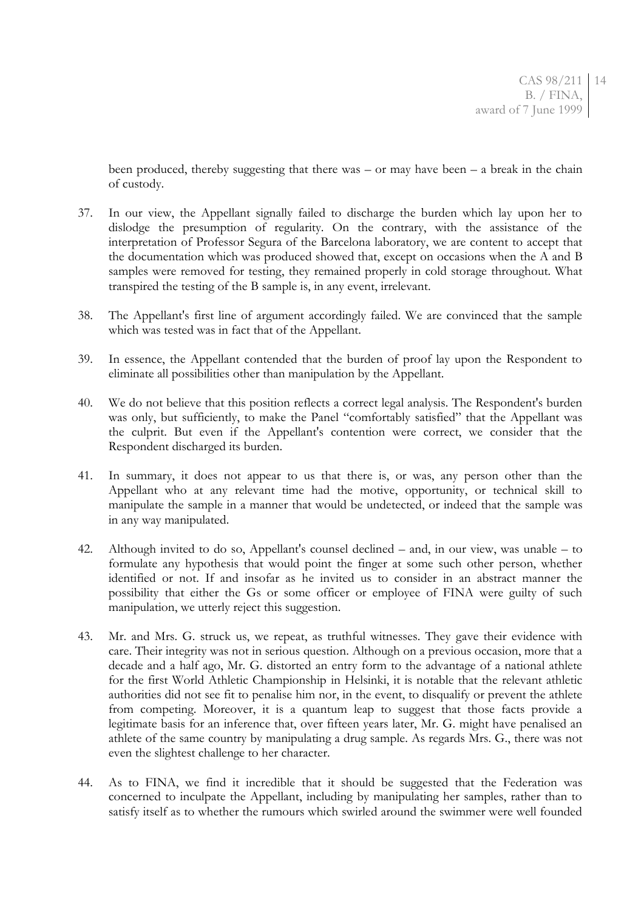been produced, thereby suggesting that there was  $-$  or may have been  $-$  a break in the chain of custody.

- 37. In our view, the Appellant signally failed to discharge the burden which lay upon her to dislodge the presumption of regularity. On the contrary, with the assistance of the interpretation of Professor Segura of the Barcelona laboratory, we are content to accept that the documentation which was produced showed that, except on occasions when the A and B samples were removed for testing, they remained properly in cold storage throughout. What transpired the testing of the B sample is, in any event, irrelevant.
- 38. The Appellant's first line of argument accordingly failed. We are convinced that the sample which was tested was in fact that of the Appellant.
- 39. In essence, the Appellant contended that the burden of proof lay upon the Respondent to eliminate all possibilities other than manipulation by the Appellant.
- 40. We do not believe that this position reflects a correct legal analysis. The Respondent's burden was only, but sufficiently, to make the Panel "comfortably satisfied" that the Appellant was the culprit. But even if the Appellant's contention were correct, we consider that the Respondent discharged its burden.
- 41. In summary, it does not appear to us that there is, or was, any person other than the Appellant who at any relevant time had the motive, opportunity, or technical skill to manipulate the sample in a manner that would be undetected, or indeed that the sample was in any way manipulated.
- 42. Although invited to do so, Appellant's counsel declined and, in our view, was unable to formulate any hypothesis that would point the finger at some such other person, whether identified or not. If and insofar as he invited us to consider in an abstract manner the possibility that either the Gs or some officer or employee of FINA were guilty of such manipulation, we utterly reject this suggestion.
- 43. Mr. and Mrs. G. struck us, we repeat, as truthful witnesses. They gave their evidence with care. Their integrity was not in serious question. Although on a previous occasion, more that a decade and a half ago, Mr. G. distorted an entry form to the advantage of a national athlete for the first World Athletic Championship in Helsinki, it is notable that the relevant athletic authorities did not see fit to penalise him nor, in the event, to disqualify or prevent the athlete from competing. Moreover, it is a quantum leap to suggest that those facts provide a legitimate basis for an inference that, over fifteen years later, Mr. G. might have penalised an athlete of the same country by manipulating a drug sample. As regards Mrs. G., there was not even the slightest challenge to her character.
- 44. As to FINA, we find it incredible that it should be suggested that the Federation was concerned to inculpate the Appellant, including by manipulating her samples, rather than to satisfy itself as to whether the rumours which swirled around the swimmer were well founded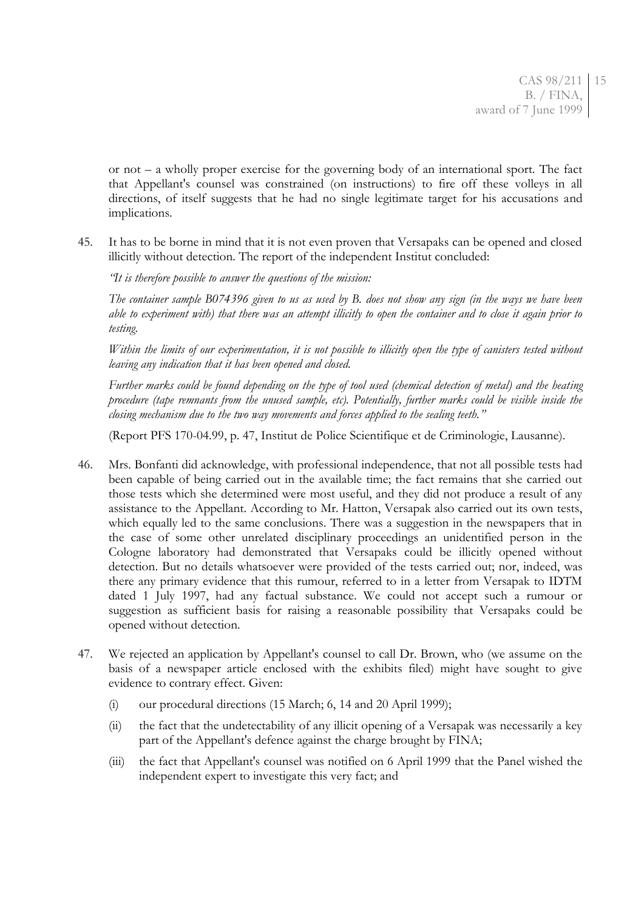or not – a wholly proper exercise for the governing body of an international sport. The fact that Appellant's counsel was constrained (on instructions) to fire off these volleys in all directions, of itself suggests that he had no single legitimate target for his accusations and implications.

45. It has to be borne in mind that it is not even proven that Versapaks can be opened and closed illicitly without detection. The report of the independent Institut concluded:

*"It is therefore possible to answer the questions of the mission:*

*The container sample B074396 given to us as used by B. does not show any sign (in the ways we have been able to experiment with) that there was an attempt illicitly to open the container and to close it again prior to testing.*

*Within the limits of our experimentation, it is not possible to illicitly open the type of canisters tested without leaving any indication that it has been opened and closed.*

*Further marks could be found depending on the type of tool used (chemical detection of metal) and the heating procedure (tape remnants from the unused sample, etc). Potentially, further marks could be visible inside the closing mechanism due to the two way movements and forces applied to the sealing teeth."*

(Report PFS 170-04.99, p. 47, Institut de Police Scientifique et de Criminologie, Lausanne).

- 46. Mrs. Bonfanti did acknowledge, with professional independence, that not all possible tests had been capable of being carried out in the available time; the fact remains that she carried out those tests which she determined were most useful, and they did not produce a result of any assistance to the Appellant. According to Mr. Hatton, Versapak also carried out its own tests, which equally led to the same conclusions. There was a suggestion in the newspapers that in the case of some other unrelated disciplinary proceedings an unidentified person in the Cologne laboratory had demonstrated that Versapaks could be illicitly opened without detection. But no details whatsoever were provided of the tests carried out; nor, indeed, was there any primary evidence that this rumour, referred to in a letter from Versapak to IDTM dated 1 July 1997, had any factual substance. We could not accept such a rumour or suggestion as sufficient basis for raising a reasonable possibility that Versapaks could be opened without detection.
- 47. We rejected an application by Appellant's counsel to call Dr. Brown, who (we assume on the basis of a newspaper article enclosed with the exhibits filed) might have sought to give evidence to contrary effect. Given:
	- (i) our procedural directions (15 March; 6, 14 and 20 April 1999);
	- (ii) the fact that the undetectability of any illicit opening of a Versapak was necessarily a key part of the Appellant's defence against the charge brought by FINA;
	- (iii) the fact that Appellant's counsel was notified on 6 April 1999 that the Panel wished the independent expert to investigate this very fact; and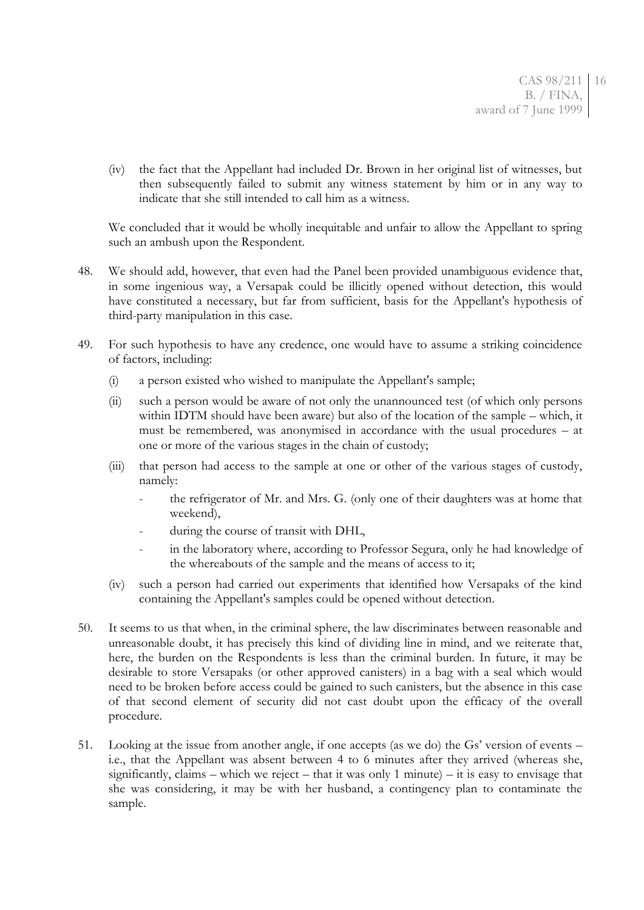(iv) the fact that the Appellant had included Dr. Brown in her original list of witnesses, but then subsequently failed to submit any witness statement by him or in any way to indicate that she still intended to call him as a witness.

We concluded that it would be wholly inequitable and unfair to allow the Appellant to spring such an ambush upon the Respondent.

- 48. We should add, however, that even had the Panel been provided unambiguous evidence that, in some ingenious way, a Versapak could be illicitly opened without detection, this would have constituted a necessary, but far from sufficient, basis for the Appellant's hypothesis of third-party manipulation in this case.
- 49. For such hypothesis to have any credence, one would have to assume a striking coincidence of factors, including:
	- (i) a person existed who wished to manipulate the Appellant's sample;
	- (ii) such a person would be aware of not only the unannounced test (of which only persons within IDTM should have been aware) but also of the location of the sample – which, it must be remembered, was anonymised in accordance with the usual procedures – at one or more of the various stages in the chain of custody;
	- (iii) that person had access to the sample at one or other of the various stages of custody, namely:
		- the refrigerator of Mr. and Mrs. G. (only one of their daughters was at home that weekend),
		- during the course of transit with DHL,
		- in the laboratory where, according to Professor Segura, only he had knowledge of the whereabouts of the sample and the means of access to it;
	- (iv) such a person had carried out experiments that identified how Versapaks of the kind containing the Appellant's samples could be opened without detection.
- 50. It seems to us that when, in the criminal sphere, the law discriminates between reasonable and unreasonable doubt, it has precisely this kind of dividing line in mind, and we reiterate that, here, the burden on the Respondents is less than the criminal burden. In future, it may be desirable to store Versapaks (or other approved canisters) in a bag with a seal which would need to be broken before access could be gained to such canisters, but the absence in this case of that second element of security did not cast doubt upon the efficacy of the overall procedure.
- 51. Looking at the issue from another angle, if one accepts (as we do) the Gs' version of events i.e., that the Appellant was absent between 4 to 6 minutes after they arrived (whereas she, significantly, claims – which we reject – that it was only 1 minute) – it is easy to envisage that she was considering, it may be with her husband, a contingency plan to contaminate the sample.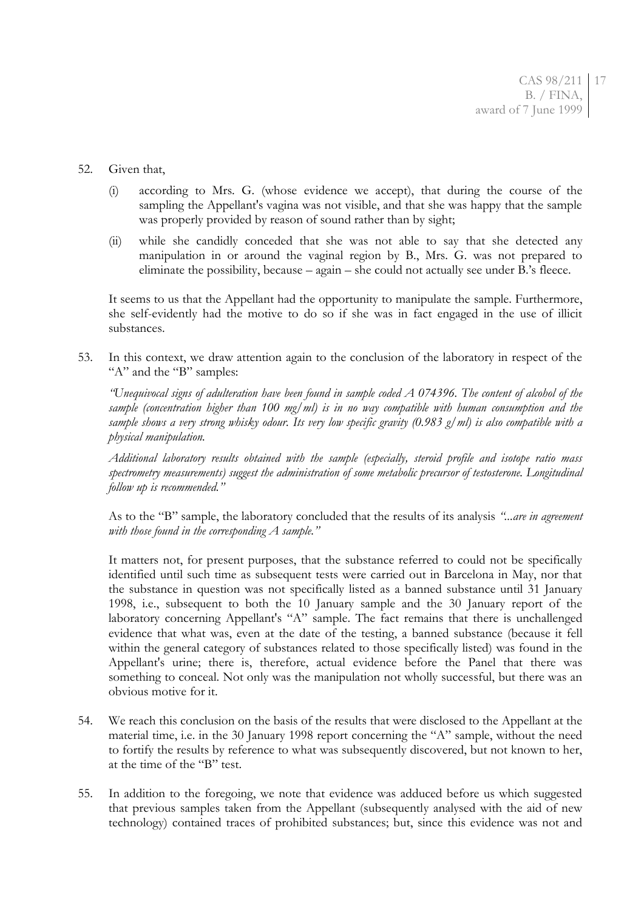### 52. Given that,

- (i) according to Mrs. G. (whose evidence we accept), that during the course of the sampling the Appellant's vagina was not visible, and that she was happy that the sample was properly provided by reason of sound rather than by sight;
- (ii) while she candidly conceded that she was not able to say that she detected any manipulation in or around the vaginal region by B., Mrs. G. was not prepared to eliminate the possibility, because – again – she could not actually see under B.'s fleece.

It seems to us that the Appellant had the opportunity to manipulate the sample. Furthermore, she self-evidently had the motive to do so if she was in fact engaged in the use of illicit substances.

53. In this context, we draw attention again to the conclusion of the laboratory in respect of the "A" and the "B" samples:

*"Unequivocal signs of adulteration have been found in sample coded A 074396. The content of alcohol of the sample (concentration higher than 100 mg/ml) is in no way compatible with human consumption and the sample shows a very strong whisky odour. Its very low specific gravity (0.983 g/ml) is also compatible with a physical manipulation.*

*Additional laboratory results obtained with the sample (especially, steroid profile and isotope ratio mass spectrometry measurements) suggest the administration of some metabolic precursor of testosterone. Longitudinal follow up is recommended."*

As to the "B" sample, the laboratory concluded that the results of its analysis *"...are in agreement with those found in the corresponding A sample."*

It matters not, for present purposes, that the substance referred to could not be specifically identified until such time as subsequent tests were carried out in Barcelona in May, nor that the substance in question was not specifically listed as a banned substance until 31 January 1998, i.e., subsequent to both the 10 January sample and the 30 January report of the laboratory concerning Appellant's "A" sample. The fact remains that there is unchallenged evidence that what was, even at the date of the testing, a banned substance (because it fell within the general category of substances related to those specifically listed) was found in the Appellant's urine; there is, therefore, actual evidence before the Panel that there was something to conceal. Not only was the manipulation not wholly successful, but there was an obvious motive for it.

- 54. We reach this conclusion on the basis of the results that were disclosed to the Appellant at the material time, i.e. in the 30 January 1998 report concerning the "A" sample, without the need to fortify the results by reference to what was subsequently discovered, but not known to her, at the time of the "B" test.
- 55. In addition to the foregoing, we note that evidence was adduced before us which suggested that previous samples taken from the Appellant (subsequently analysed with the aid of new technology) contained traces of prohibited substances; but, since this evidence was not and